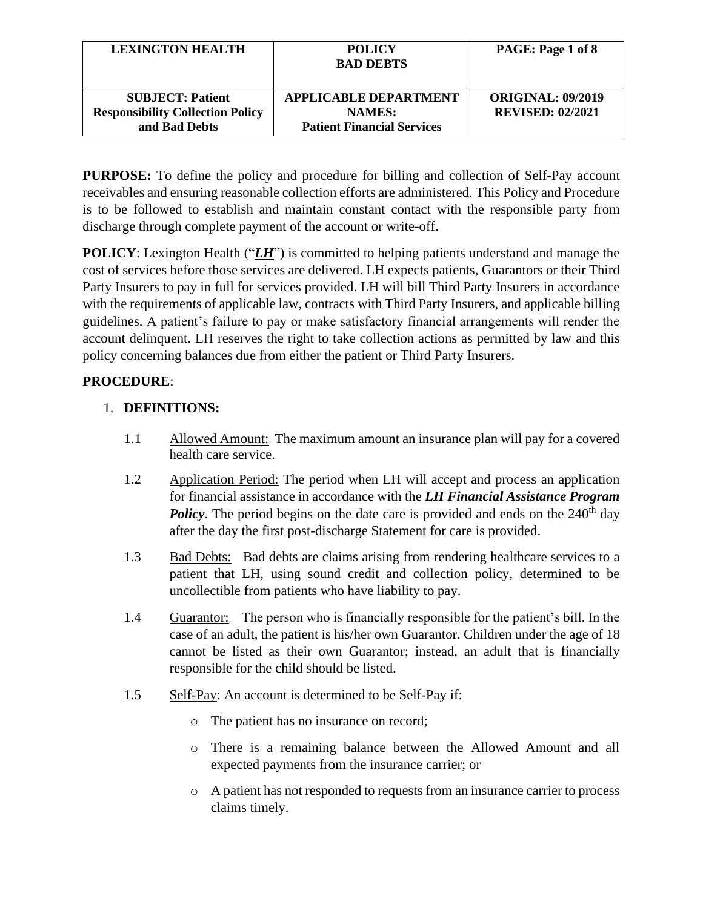| <b>LEXINGTON HEALTH</b>                 | <b>POLICY</b><br><b>BAD DEBTS</b> | PAGE: Page 1 of 8        |
|-----------------------------------------|-----------------------------------|--------------------------|
| <b>SUBJECT: Patient</b>                 | <b>APPLICABLE DEPARTMENT</b>      | <b>ORIGINAL: 09/2019</b> |
| <b>Responsibility Collection Policy</b> | <b>NAMES:</b>                     | <b>REVISED: 02/2021</b>  |
| and Bad Debts                           | <b>Patient Financial Services</b> |                          |

**PURPOSE:** To define the policy and procedure for billing and collection of Self-Pay account receivables and ensuring reasonable collection efforts are administered. This Policy and Procedure is to be followed to establish and maintain constant contact with the responsible party from discharge through complete payment of the account or write-off.

**POLICY**: Lexington Health ("*LH*") is committed to helping patients understand and manage the cost of services before those services are delivered. LH expects patients, Guarantors or their Third Party Insurers to pay in full for services provided. LH will bill Third Party Insurers in accordance with the requirements of applicable law, contracts with Third Party Insurers, and applicable billing guidelines. A patient's failure to pay or make satisfactory financial arrangements will render the account delinquent. LH reserves the right to take collection actions as permitted by law and this policy concerning balances due from either the patient or Third Party Insurers.

# **PROCEDURE**:

## 1. **DEFINITIONS:**

- 1.1 Allowed Amount: The maximum amount an insurance plan will pay for a covered health care service.
- 1.2 Application Period: The period when LH will accept and process an application for financial assistance in accordance with the *LH Financial Assistance Program*  **Policy**. The period begins on the date care is provided and ends on the 240<sup>th</sup> day after the day the first post-discharge Statement for care is provided.
- 1.3 Bad Debts: Bad debts are claims arising from rendering healthcare services to a patient that LH, using sound credit and collection policy, determined to be uncollectible from patients who have liability to pay.
- 1.4 Guarantor: The person who is financially responsible for the patient's bill. In the case of an adult, the patient is his/her own Guarantor. Children under the age of 18 cannot be listed as their own Guarantor; instead, an adult that is financially responsible for the child should be listed.
- 1.5 Self-Pay: An account is determined to be Self-Pay if:
	- o The patient has no insurance on record;
	- o There is a remaining balance between the Allowed Amount and all expected payments from the insurance carrier; or
	- o A patient has not responded to requests from an insurance carrier to process claims timely.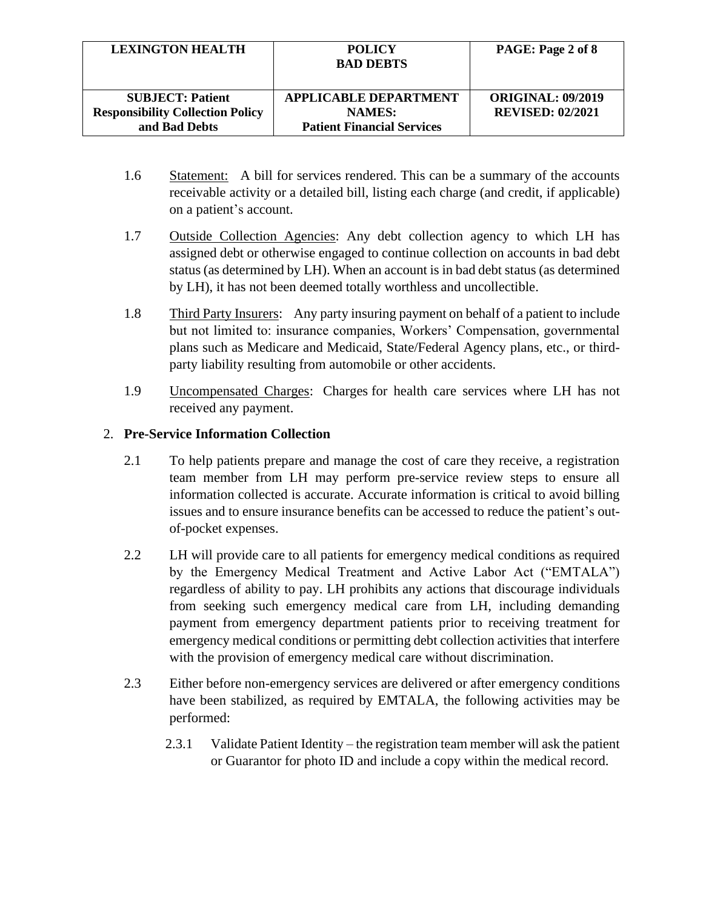| <b>LEXINGTON HEALTH</b>                                            | <b>POLICY</b><br><b>BAD DEBTS</b>             | PAGE: Page 2 of 8                                   |
|--------------------------------------------------------------------|-----------------------------------------------|-----------------------------------------------------|
| <b>SUBJECT: Patient</b><br><b>Responsibility Collection Policy</b> | <b>APPLICABLE DEPARTMENT</b><br><b>NAMES:</b> | <b>ORIGINAL: 09/2019</b><br><b>REVISED: 02/2021</b> |
| and Bad Debts                                                      | <b>Patient Financial Services</b>             |                                                     |

- 1.6 Statement: A bill for services rendered. This can be a summary of the accounts receivable activity or a detailed bill, listing each charge (and credit, if applicable) on a patient's account.
- 1.7 Outside Collection Agencies: Any debt collection agency to which LH has assigned debt or otherwise engaged to continue collection on accounts in bad debt status (as determined by LH). When an account is in bad debt status (as determined by LH), it has not been deemed totally worthless and uncollectible.
- 1.8 Third Party Insurers: Any party insuring payment on behalf of a patient to include but not limited to: insurance companies, Workers' Compensation, governmental plans such as Medicare and Medicaid, State/Federal Agency plans, etc., or thirdparty liability resulting from automobile or other accidents.
- 1.9 Uncompensated Charges: Charges for health care services where LH has not received any payment.

### 2. **Pre-Service Information Collection**

- 2.1 To help patients prepare and manage the cost of care they receive, a registration team member from LH may perform pre-service review steps to ensure all information collected is accurate. Accurate information is critical to avoid billing issues and to ensure insurance benefits can be accessed to reduce the patient's outof-pocket expenses.
- 2.2 LH will provide care to all patients for emergency medical conditions as required by the Emergency Medical Treatment and Active Labor Act ("EMTALA") regardless of ability to pay. LH prohibits any actions that discourage individuals from seeking such emergency medical care from LH, including demanding payment from emergency department patients prior to receiving treatment for emergency medical conditions or permitting debt collection activities that interfere with the provision of emergency medical care without discrimination.
- 2.3 Either before non-emergency services are delivered or after emergency conditions have been stabilized, as required by EMTALA, the following activities may be performed:
	- 2.3.1 Validate Patient Identity the registration team member will ask the patient or Guarantor for photo ID and include a copy within the medical record.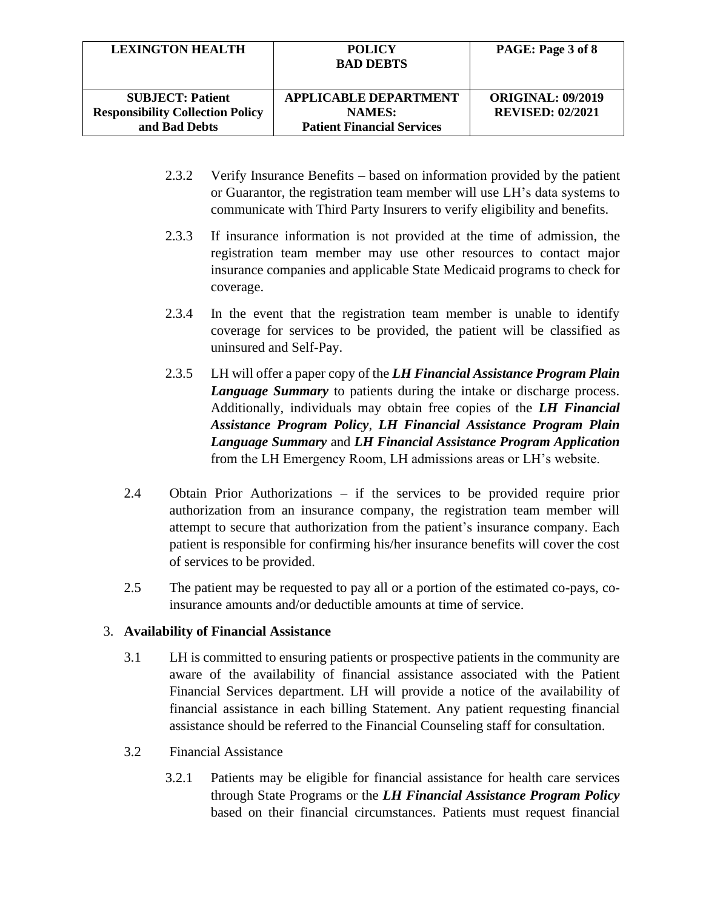| <b>LEXINGTON HEALTH</b>                                            | <b>POLICY</b><br><b>BAD DEBTS</b>             | PAGE: Page 3 of 8                                   |
|--------------------------------------------------------------------|-----------------------------------------------|-----------------------------------------------------|
| <b>SUBJECT: Patient</b><br><b>Responsibility Collection Policy</b> | <b>APPLICABLE DEPARTMENT</b><br><b>NAMES:</b> | <b>ORIGINAL: 09/2019</b><br><b>REVISED: 02/2021</b> |
| and Bad Debts                                                      | <b>Patient Financial Services</b>             |                                                     |

- 2.3.2 Verify Insurance Benefits based on information provided by the patient or Guarantor, the registration team member will use LH's data systems to communicate with Third Party Insurers to verify eligibility and benefits.
- 2.3.3 If insurance information is not provided at the time of admission, the registration team member may use other resources to contact major insurance companies and applicable State Medicaid programs to check for coverage.
- 2.3.4 In the event that the registration team member is unable to identify coverage for services to be provided, the patient will be classified as uninsured and Self-Pay.
- 2.3.5 LH will offer a paper copy of the *LH Financial Assistance Program Plain Language Summary* to patients during the intake or discharge process. Additionally, individuals may obtain free copies of the *LH Financial Assistance Program Policy*, *LH Financial Assistance Program Plain Language Summary* and *LH Financial Assistance Program Application* from the LH Emergency Room, LH admissions areas or LH's website.
- 2.4 Obtain Prior Authorizations if the services to be provided require prior authorization from an insurance company, the registration team member will attempt to secure that authorization from the patient's insurance company. Each patient is responsible for confirming his/her insurance benefits will cover the cost of services to be provided.
- 2.5 The patient may be requested to pay all or a portion of the estimated co-pays, coinsurance amounts and/or deductible amounts at time of service.

### 3. **Availability of Financial Assistance**

- 3.1 LH is committed to ensuring patients or prospective patients in the community are aware of the availability of financial assistance associated with the Patient Financial Services department. LH will provide a notice of the availability of financial assistance in each billing Statement. Any patient requesting financial assistance should be referred to the Financial Counseling staff for consultation.
- 3.2 Financial Assistance
	- 3.2.1 Patients may be eligible for financial assistance for health care services through State Programs or the *LH Financial Assistance Program Policy*  based on their financial circumstances. Patients must request financial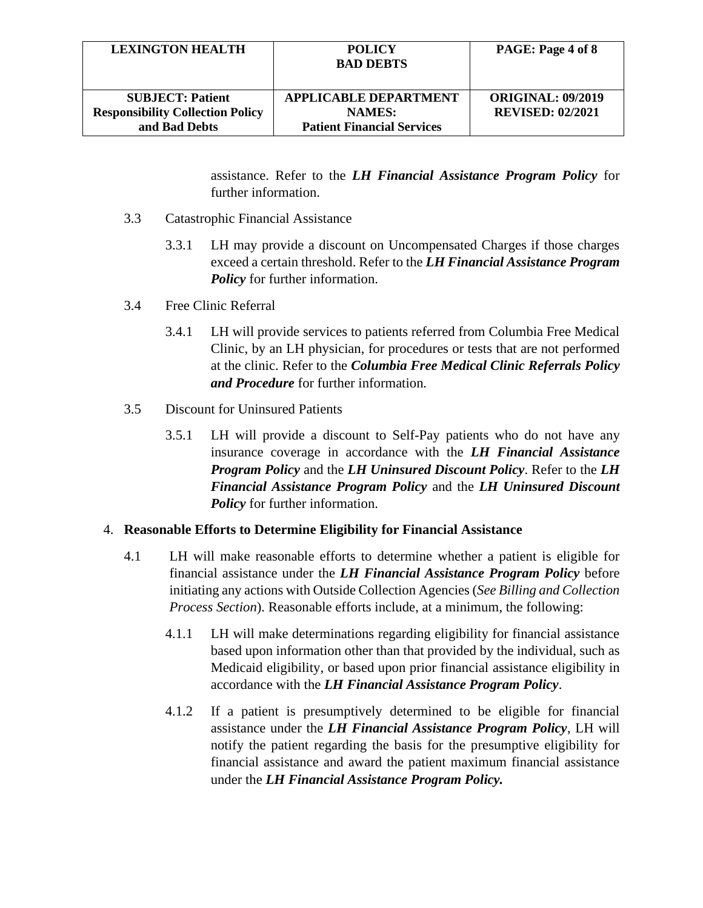| <b>LEXINGTON HEALTH</b>                 | <b>POLICY</b><br><b>BAD DEBTS</b> | PAGE: Page 4 of 8        |
|-----------------------------------------|-----------------------------------|--------------------------|
| <b>SUBJECT: Patient</b>                 | <b>APPLICABLE DEPARTMENT</b>      | <b>ORIGINAL: 09/2019</b> |
| <b>Responsibility Collection Policy</b> | <b>NAMES:</b>                     | <b>REVISED: 02/2021</b>  |
| and Bad Debts                           | <b>Patient Financial Services</b> |                          |

assistance. Refer to the *LH Financial Assistance Program Policy* for further information.

- 3.3 Catastrophic Financial Assistance
	- 3.3.1 LH may provide a discount on Uncompensated Charges if those charges exceed a certain threshold. Refer to the *LH Financial Assistance Program Policy* for further information.
- 3.4 Free Clinic Referral
	- 3.4.1 LH will provide services to patients referred from Columbia Free Medical Clinic, by an LH physician, for procedures or tests that are not performed at the clinic. Refer to the *Columbia Free Medical Clinic Referrals Policy and Procedure* for further information*.*
- 3.5 Discount for Uninsured Patients
	- 3.5.1 LH will provide a discount to Self-Pay patients who do not have any insurance coverage in accordance with the *LH Financial Assistance Program Policy* and the *LH Uninsured Discount Policy*. Refer to the *LH Financial Assistance Program Policy* and the *LH Uninsured Discount Policy* for further information.

#### 4. **Reasonable Efforts to Determine Eligibility for Financial Assistance**

- 4.1 LH will make reasonable efforts to determine whether a patient is eligible for financial assistance under the *LH Financial Assistance Program Policy* before initiating any actions with Outside Collection Agencies (*See Billing and Collection Process Section*). Reasonable efforts include, at a minimum, the following:
	- 4.1.1 LH will make determinations regarding eligibility for financial assistance based upon information other than that provided by the individual, such as Medicaid eligibility, or based upon prior financial assistance eligibility in accordance with the *LH Financial Assistance Program Policy*.
	- 4.1.2 If a patient is presumptively determined to be eligible for financial assistance under the *LH Financial Assistance Program Policy*, LH will notify the patient regarding the basis for the presumptive eligibility for financial assistance and award the patient maximum financial assistance under the *LH Financial Assistance Program Policy.*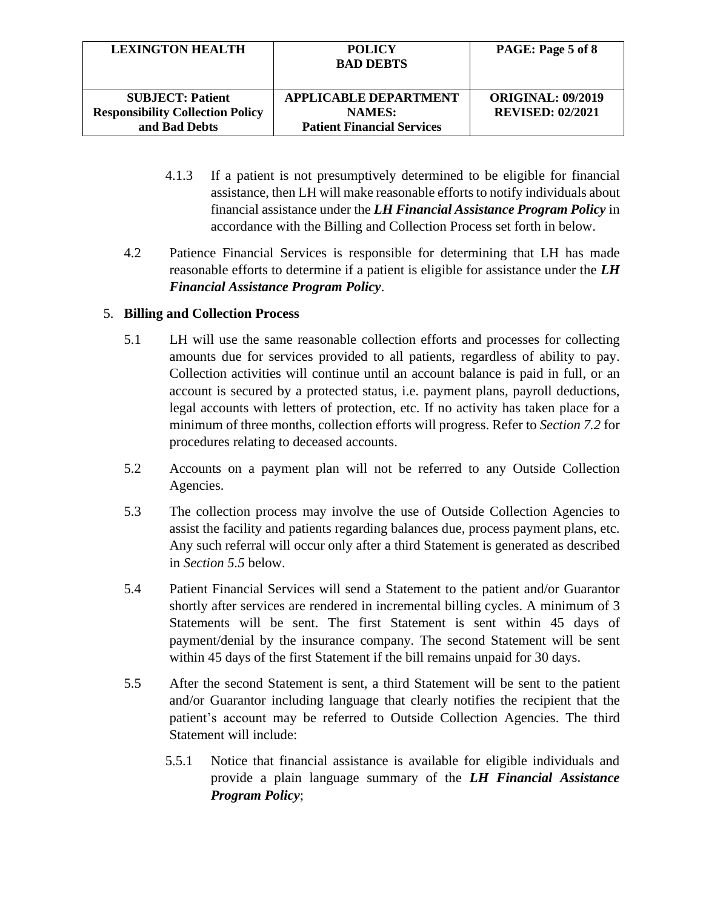| <b>LEXINGTON HEALTH</b>                 | <b>POLICY</b><br><b>BAD DEBTS</b> | PAGE: Page 5 of 8        |
|-----------------------------------------|-----------------------------------|--------------------------|
| <b>SUBJECT: Patient</b>                 | <b>APPLICABLE DEPARTMENT</b>      | <b>ORIGINAL: 09/2019</b> |
| <b>Responsibility Collection Policy</b> | <b>NAMES:</b>                     | <b>REVISED: 02/2021</b>  |
| and Bad Debts                           | <b>Patient Financial Services</b> |                          |

- 4.1.3 If a patient is not presumptively determined to be eligible for financial assistance, then LH will make reasonable efforts to notify individuals about financial assistance under the *LH Financial Assistance Program Policy* in accordance with the Billing and Collection Process set forth in below.
- 4.2 Patience Financial Services is responsible for determining that LH has made reasonable efforts to determine if a patient is eligible for assistance under the *LH Financial Assistance Program Policy*.

### 5. **Billing and Collection Process**

- 5.1 LH will use the same reasonable collection efforts and processes for collecting amounts due for services provided to all patients, regardless of ability to pay. Collection activities will continue until an account balance is paid in full, or an account is secured by a protected status, i.e. payment plans, payroll deductions, legal accounts with letters of protection, etc. If no activity has taken place for a minimum of three months, collection efforts will progress. Refer to *Section 7.2* for procedures relating to deceased accounts.
- 5.2 Accounts on a payment plan will not be referred to any Outside Collection Agencies.
- 5.3 The collection process may involve the use of Outside Collection Agencies to assist the facility and patients regarding balances due, process payment plans, etc. Any such referral will occur only after a third Statement is generated as described in *Section 5.5* below.
- 5.4 Patient Financial Services will send a Statement to the patient and/or Guarantor shortly after services are rendered in incremental billing cycles. A minimum of 3 Statements will be sent. The first Statement is sent within 45 days of payment/denial by the insurance company. The second Statement will be sent within 45 days of the first Statement if the bill remains unpaid for 30 days.
- 5.5 After the second Statement is sent, a third Statement will be sent to the patient and/or Guarantor including language that clearly notifies the recipient that the patient's account may be referred to Outside Collection Agencies. The third Statement will include:
	- 5.5.1 Notice that financial assistance is available for eligible individuals and provide a plain language summary of the *LH Financial Assistance Program Policy*;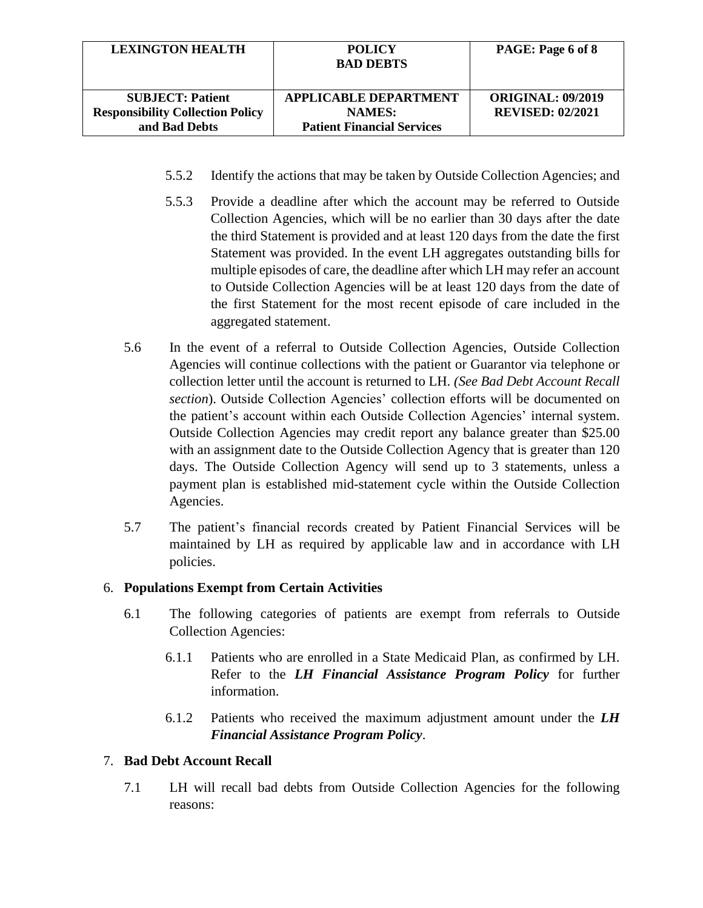| <b>LEXINGTON HEALTH</b>                 | <b>POLICY</b><br><b>BAD DEBTS</b> | PAGE: Page 6 of 8        |
|-----------------------------------------|-----------------------------------|--------------------------|
| <b>SUBJECT: Patient</b>                 | APPLICABLE DEPARTMENT             | <b>ORIGINAL: 09/2019</b> |
| <b>Responsibility Collection Policy</b> | <b>NAMES:</b>                     | <b>REVISED: 02/2021</b>  |
| and Bad Debts                           | <b>Patient Financial Services</b> |                          |

- 5.5.2 Identify the actions that may be taken by Outside Collection Agencies; and
- 5.5.3 Provide a deadline after which the account may be referred to Outside Collection Agencies, which will be no earlier than 30 days after the date the third Statement is provided and at least 120 days from the date the first Statement was provided. In the event LH aggregates outstanding bills for multiple episodes of care, the deadline after which LH may refer an account to Outside Collection Agencies will be at least 120 days from the date of the first Statement for the most recent episode of care included in the aggregated statement.
- 5.6 In the event of a referral to Outside Collection Agencies, Outside Collection Agencies will continue collections with the patient or Guarantor via telephone or collection letter until the account is returned to LH*. (See Bad Debt Account Recall section*). Outside Collection Agencies' collection efforts will be documented on the patient's account within each Outside Collection Agencies' internal system. Outside Collection Agencies may credit report any balance greater than \$25.00 with an assignment date to the Outside Collection Agency that is greater than 120 days. The Outside Collection Agency will send up to 3 statements, unless a payment plan is established mid-statement cycle within the Outside Collection Agencies.
- 5.7 The patient's financial records created by Patient Financial Services will be maintained by LH as required by applicable law and in accordance with LH policies.

### 6. **Populations Exempt from Certain Activities**

- 6.1 The following categories of patients are exempt from referrals to Outside Collection Agencies:
	- 6.1.1 Patients who are enrolled in a State Medicaid Plan, as confirmed by LH. Refer to the *LH Financial Assistance Program Policy* for further information.
	- 6.1.2 Patients who received the maximum adjustment amount under the *LH Financial Assistance Program Policy*.

### 7. **Bad Debt Account Recall**

7.1 LH will recall bad debts from Outside Collection Agencies for the following reasons: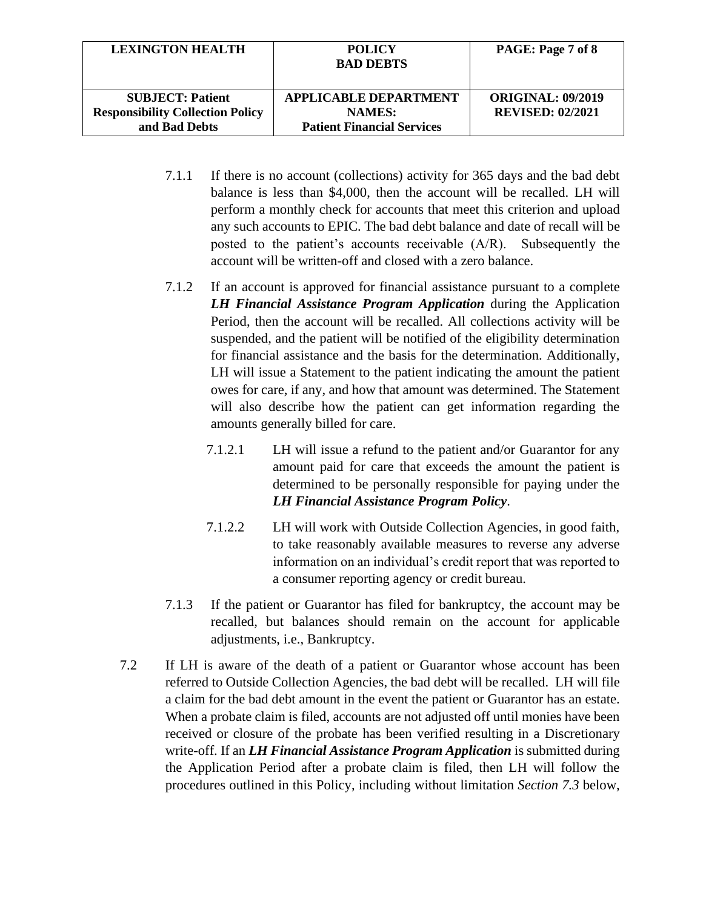| <b>LEXINGTON HEALTH</b>                 | <b>POLICY</b><br><b>BAD DEBTS</b> | PAGE: Page 7 of 8        |
|-----------------------------------------|-----------------------------------|--------------------------|
| <b>SUBJECT: Patient</b>                 | <b>APPLICABLE DEPARTMENT</b>      | <b>ORIGINAL: 09/2019</b> |
| <b>Responsibility Collection Policy</b> | <b>NAMES:</b>                     | <b>REVISED: 02/2021</b>  |
| and Bad Debts                           | <b>Patient Financial Services</b> |                          |

- 7.1.1 If there is no account (collections) activity for 365 days and the bad debt balance is less than \$4,000, then the account will be recalled. LH will perform a monthly check for accounts that meet this criterion and upload any such accounts to EPIC. The bad debt balance and date of recall will be posted to the patient's accounts receivable (A/R). Subsequently the account will be written-off and closed with a zero balance.
- 7.1.2 If an account is approved for financial assistance pursuant to a complete *LH Financial Assistance Program Application* during the Application Period, then the account will be recalled. All collections activity will be suspended, and the patient will be notified of the eligibility determination for financial assistance and the basis for the determination. Additionally, LH will issue a Statement to the patient indicating the amount the patient owes for care, if any, and how that amount was determined. The Statement will also describe how the patient can get information regarding the amounts generally billed for care.
	- 7.1.2.1 LH will issue a refund to the patient and/or Guarantor for any amount paid for care that exceeds the amount the patient is determined to be personally responsible for paying under the *LH Financial Assistance Program Policy*.
	- 7.1.2.2 LH will work with Outside Collection Agencies, in good faith, to take reasonably available measures to reverse any adverse information on an individual's credit report that was reported to a consumer reporting agency or credit bureau.
- 7.1.3 If the patient or Guarantor has filed for bankruptcy, the account may be recalled, but balances should remain on the account for applicable adjustments, i.e., Bankruptcy.
- 7.2 If LH is aware of the death of a patient or Guarantor whose account has been referred to Outside Collection Agencies, the bad debt will be recalled. LH will file a claim for the bad debt amount in the event the patient or Guarantor has an estate. When a probate claim is filed, accounts are not adjusted off until monies have been received or closure of the probate has been verified resulting in a Discretionary write-off. If an *LH Financial Assistance Program Application* is submitted during the Application Period after a probate claim is filed, then LH will follow the procedures outlined in this Policy, including without limitation *Section 7.3* below,